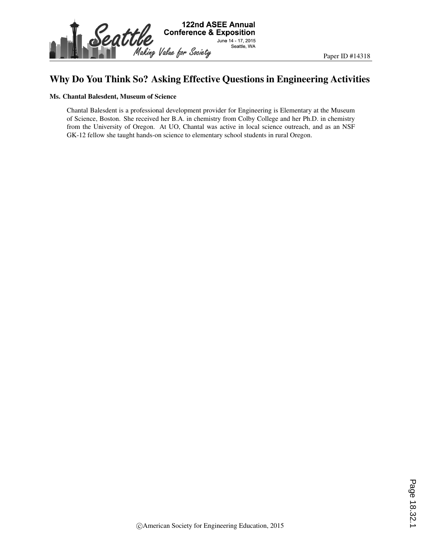

### Why Do You Think So? Asking Effective Questions in Engineering Activities

#### Ms. Chantal Balesdent, Museum of Science

Chantal Balesdent is a professional development provider for Engineering is Elementary at the Museum of Science, Boston. She received her B.A. in chemistry from Colby College and her Ph.D. in chemistry from the University of Oregon. At UO, Chantal was active in local science outreach, and as an NSF GK-12 fellow she taught hands-on science to elementary school students in rural Oregon.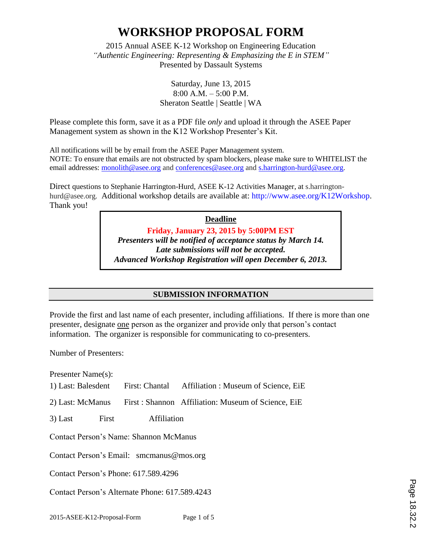2015 Annual ASEE K-12 Workshop on Engineering Education *"Authentic Engineering: Representing & Emphasizing the E in STEM"* Presented by Dassault Systems

> Saturday, June 13, 2015 8:00 A.M. – 5:00 P.M. Sheraton Seattle | Seattle | WA

Please complete this form, save it as a PDF file *only* and upload it through the ASEE Paper Management system as shown in the K12 Workshop Presenter's Kit.

All notifications will be by email from the ASEE Paper Management system. NOTE: To ensure that emails are not obstructed by spam blockers, please make sure to WHITELIST the email addresses: monolith@asee.org and conferences@asee.org and s.harrington-hurd@asee.org.

Direct questions to Stephanie Harrington-Hurd, ASEE K-12 Activities Manager, at s.harringtonhurd@asee.org. Additional workshop details are available at: http://www.asee.org/K12Workshop. Thank you!

> **Deadline Friday, January 23, 2015 by 5:00PM EST** *Presenters will be notified of acceptance status by March 14. Late submissions will not be accepted. Advanced Workshop Registration will open December 6, 2013.*

### **SUBMISSION INFORMATION**

Provide the first and last name of each presenter, including affiliations. If there is more than one presenter, designate one person as the organizer and provide only that person's contact information. The organizer is responsible for communicating to co-presenters.

Number of Presenters:

Presenter Name(s):

1) Last: Balesdent First: Chantal Affiliation : Museum of Science, EiE

- 2) Last: McManus First : Shannon Affiliation: Museum of Science, EiE
- 3) Last First Affiliation

Contact Person's Name: Shannon McManus

Contact Person's Email: smcmanus@mos.org

Contact Person's Phone: 617.589.4296

Contact Person's Alternate Phone: 617.589.4243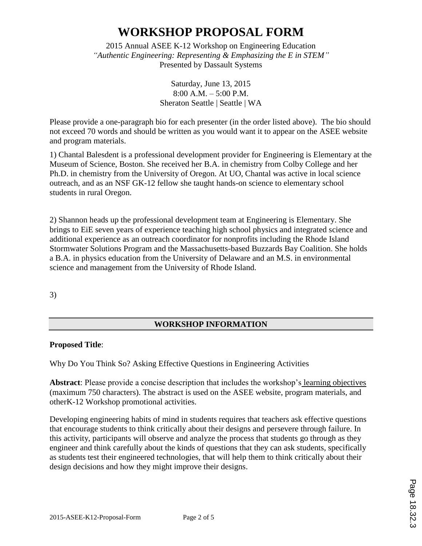2015 Annual ASEE K-12 Workshop on Engineering Education *"Authentic Engineering: Representing & Emphasizing the E in STEM"* Presented by Dassault Systems

> Saturday, June 13, 2015 8:00 A.M. – 5:00 P.M. Sheraton Seattle | Seattle | WA

Please provide a one-paragraph bio for each presenter (in the order listed above). The bio should not exceed 70 words and should be written as you would want it to appear on the ASEE website and program materials.

1) Chantal Balesdent is a professional development provider for Engineering is Elementary at the Museum of Science, Boston. She received her B.A. in chemistry from Colby College and her Ph.D. in chemistry from the University of Oregon. At UO, Chantal was active in local science outreach, and as an NSF GK-12 fellow she taught hands-on science to elementary school students in rural Oregon.

2) Shannon heads up the professional development team at Engineering is Elementary. She brings to EiE seven years of experience teaching high school physics and integrated science and additional experience as an outreach coordinator for nonprofits including the Rhode Island Stormwater Solutions Program and the Massachusetts-based Buzzards Bay Coalition. She holds a B.A. in physics education from the University of Delaware and an M.S. in environmental science and management from the University of Rhode Island.

3)

### **WORKSHOP INFORMATION**

### **Proposed Title**:

Why Do You Think So? Asking Effective Questions in Engineering Activities

**Abstract**: Please provide a concise description that includes the workshop's learning objectives (maximum 750 characters). The abstract is used on the ASEE website, program materials, and otherK-12 Workshop promotional activities.

Developing engineering habits of mind in students requires that teachers ask effective questions that encourage students to think critically about their designs and persevere through failure. In this activity, participants will observe and analyze the process that students go through as they engineer and think carefully about the kinds of questions that they can ask students, specifically as students test their engineered technologies, that will help them to think critically about their design decisions and how they might improve their designs.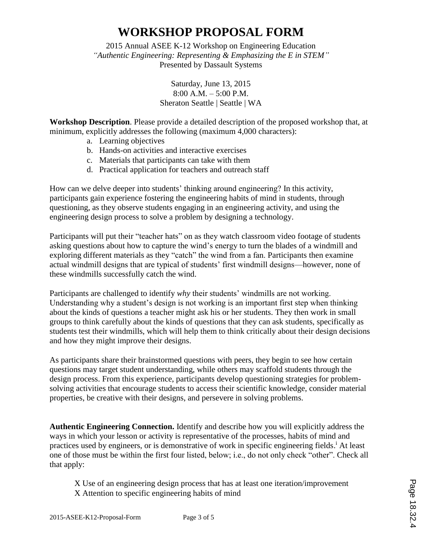2015 Annual ASEE K-12 Workshop on Engineering Education *"Authentic Engineering: Representing & Emphasizing the E in STEM"* Presented by Dassault Systems

> Saturday, June 13, 2015 8:00 A.M. – 5:00 P.M. Sheraton Seattle | Seattle | WA

**Workshop Description**. Please provide a detailed description of the proposed workshop that, at minimum, explicitly addresses the following (maximum 4,000 characters):

- a. Learning objectives
- b. Hands-on activities and interactive exercises
- c. Materials that participants can take with them
- d. Practical application for teachers and outreach staff

How can we delve deeper into students' thinking around engineering? In this activity, participants gain experience fostering the engineering habits of mind in students, through questioning, as they observe students engaging in an engineering activity, and using the engineering design process to solve a problem by designing a technology.

Participants will put their "teacher hats" on as they watch classroom video footage of students asking questions about how to capture the wind's energy to turn the blades of a windmill and exploring different materials as they "catch" the wind from a fan. Participants then examine actual windmill designs that are typical of students' first windmill designs—however, none of these windmills successfully catch the wind.

Participants are challenged to identify *why* their students' windmills are not working. Understanding why a student's design is not working is an important first step when thinking about the kinds of questions a teacher might ask his or her students. They then work in small groups to think carefully about the kinds of questions that they can ask students, specifically as students test their windmills, which will help them to think critically about their design decisions and how they might improve their designs.

As participants share their brainstormed questions with peers, they begin to see how certain questions may target student understanding, while others may scaffold students through the design process. From this experience, participants develop questioning strategies for problemsolving activities that encourage students to access their scientific knowledge, consider material properties, be creative with their designs, and persevere in solving problems.

**Authentic Engineering Connection.** Identify and describe how you will explicitly address the ways in which your lesson or activity is representative of the processes, habits of mind and practices used by engineers, or is demonstrative of work in specific engineering fields.<sup>i</sup> At least one of those must be within the first four listed, below; i.e., do not only check "other". Check all that apply:

X Use of an engineering design process that has at least one iteration/improvement X Attention to specific engineering habits of mind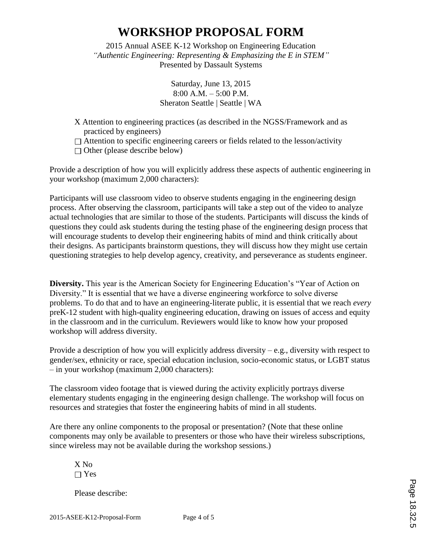2015 Annual ASEE K-12 Workshop on Engineering Education *"Authentic Engineering: Representing & Emphasizing the E in STEM"* Presented by Dassault Systems

> Saturday, June 13, 2015 8:00 A.M. – 5:00 P.M. Sheraton Seattle | Seattle | WA

- X Attention to engineering practices (as described in the NGSS/Framework and as practiced by engineers)
- $\Box$  Attention to specific engineering careers or fields related to the lesson/activity

 $\Box$  Other (please describe below)

Provide a description of how you will explicitly address these aspects of authentic engineering in your workshop (maximum 2,000 characters):

Participants will use classroom video to observe students engaging in the engineering design process. After observing the classroom, participants will take a step out of the video to analyze actual technologies that are similar to those of the students. Participants will discuss the kinds of questions they could ask students during the testing phase of the engineering design process that will encourage students to develop their engineering habits of mind and think critically about their designs. As participants brainstorm questions, they will discuss how they might use certain questioning strategies to help develop agency, creativity, and perseverance as students engineer.

**Diversity.** This year is the American Society for Engineering Education's "Year of Action on Diversity." It is essential that we have a diverse engineering workforce to solve diverse problems. To do that and to have an engineering-literate public, it is essential that we reach *every* preK-12 student with high-quality engineering education, drawing on issues of access and equity in the classroom and in the curriculum. Reviewers would like to know how your proposed workshop will address diversity.

Provide a description of how you will explicitly address diversity – e.g., diversity with respect to gender/sex, ethnicity or race, special education inclusion, socio-economic status, or LGBT status – in your workshop (maximum 2,000 characters):

The classroom video footage that is viewed during the activity explicitly portrays diverse elementary students engaging in the engineering design challenge. The workshop will focus on resources and strategies that foster the engineering habits of mind in all students.

Are there any online components to the proposal or presentation? (Note that these online components may only be available to presenters or those who have their wireless subscriptions, since wireless may not be available during the workshop sessions.)

X No □ Yes

Please describe: